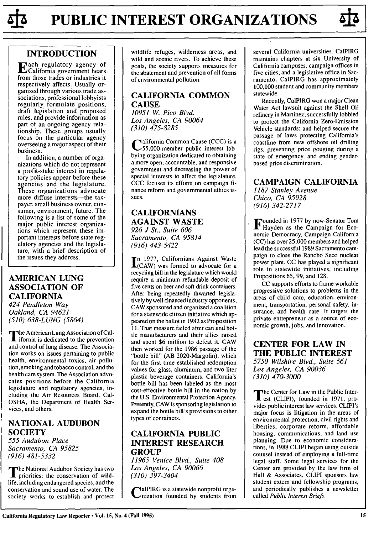# **INTRODUCTION**

**E** ach regulatory agency of California government hears from those trades or industries it respectively affects. Usually organized through various trade associations, professional lobbyists regularly formulate positions, draft legislation and proposed rules, and provide information as part of an ongoing agency relationship. These groups usually focus on the particular agency overseeing a major aspect of their business.

In addition, a number of organizations which do not represent a profit-stake interest in regulatory policies appear before these agencies and the legislature. These organizations advocate more diffuse interests—the taxpayer, small business owner, consumer, environment, future. The following is a list of some of the major public interest organizations which represent these important interests before state regulatory agencies and the legislature, with a brief description of the issues they address.

## **AMERICAN LUNG ASSOCIATION OF CALIFORNIA**

*424 Pendleton Way Oakland, CA 94621 (510) 638-LUNG (5864)*

**The American Lung Association of Cal**ifornia is dedicated to the prevention and control of lung disease. The Association works on issues pertaining to public health, environmental toxics, air pollution, smoking and tobacco control, and the health care system. The Association advocates positions before the California legislature and regulatory agencies, including the Air Resources Board, Cal-OSHA, the Department of Health Services, and others.

## **NATIONAL AUDUBON SOCIETY**

*555 Audubon Place Sacramento, CA 95825 (916) 481-5332*

he National Audubon Society has two priorities: the conservation of wildlife, including endangered species, and the conservation and sound use of water. The society works to establish and protect wildlife refuges, wilderness areas, and wild and scenic rivers. To achieve these goals, the society supports measures for the abatement and prevention of all forms of environmental pollution.

## **CALIFORNIA COMMON CAUSE**

*10951 W. Pico Blvd. Los Angeles, CA 90064 (310) 475-8285*

alifornia Common Cause (CCC) is a 55,000-member public interest lobbying organization dedicated to obtaining a more open, accountable, and responsive government and decreasing the power of special interests to affect the legislature. CCC focuses its efforts on campaign finance reform and governmental ethics issues.

#### **CALIFORNIANS AGAINST WASTE** *926 J St., Suite 606 Sacramento, CA 95814 (916) 443-5422*

**I** n 1977, Californians Against Waste  $\prod_{n=1}^{n}$  (CAW) was formed to advocate for a recycling bill in the legislature which would require a minimum refundable deposit of five cents on beer and soft drink containers. After being repeatedly thwarted legislatively by well-financed industry opponents, CAW sponsored and organized a coalition for a statewide citizen initiative which appeared on the ballot in 1982 as Proposition 11. That measure failed after can and bottle manufacturers and their allies raised and spent \$6 million to defeat it. CAW then worked for the 1986 passage of the "bottle bill" (AB 2020-Margolin), which for the first time established redemption values for glass, aluminum, and two-liter plastic beverage containers. California's bottle bill has been labeled as the most cost-effective bottle bill in the nation by the U.S. Environmental Protection Agency. Presently, CAW is sponsoring legislation to expand the bottle bill's provisions to other types of containers.

## **CALIFORNIA PUBLIC INTEREST RESEARCH GROUP**

*11965 Venice Blvd., Suite 408 Los Angeles, CA 90066 (310) 397-3404*

alPIRG is a statewide nonprofit organization founded by students from several California universities. CalPIRG maintains chapters at six University of California campuses, campaign offices in five cities, and a legislative office in Sacramento. CalPIRG has approximately 100,000 student and community members statewide.

Recently, CalPIRG won a major Clean Water Act lawsuit against the Shell Oil refinery in Martinez; successfully lobbied to protect the California Zero-Emission Vehicle standards; and helped secure the passage of laws protecting California's coastline from new offshore oil drilling rigs, preventing price gouging during a state of emergency, and ending genderbased price discrimination.

**CAMPAIGN CALIFORNIA** *1187 Stanley Avenue Chico, CA 95928 (916) 342-2717*

**F** ounded in 1977 by now-Senator Tom<br>**H** Hayden as the Campaign for Economic Democracy, Campaign California **(CC)** has over 25,000 members and helped lead the successful 1989 Sacramento campaign to close the Rancho Seco nuclear power plant. CC has played a significant role in statewide initiatives, including Propositions 65, 99, and 128.

CC supports efforts to frame workable progressive solutions to problems in the areas of child care, education, environment, transportation, personal safety, insurance, and health care. It targets the private entrepreneur as a source of economic growth, jobs, and innovation.

**CENTER FOR LAW IN THE PUBLIC INTEREST** *5750 Wilshire Blvd., Suite 561 Los Angeles, CA 90036 (310) 470-3000*

The Center for Law in the Public Inter-**L** est (CLIPI), founded in 1971, provides public interest law services. CLIPI's major focus is litigation in the areas of environmental protection, civil rights and liberties, corporate reform, affordable housing, communications, and land use planning. Due to economic considerations, in 1988 CLIPI began using outside counsel instead of employing a full-time legal staff. Some legal services for the Center are provided by the law firm of Hall & Associates. CLIPI sponsors law student extem and fellowship programs, and periodically publishes a newsletter called *Public Interest Briefs.*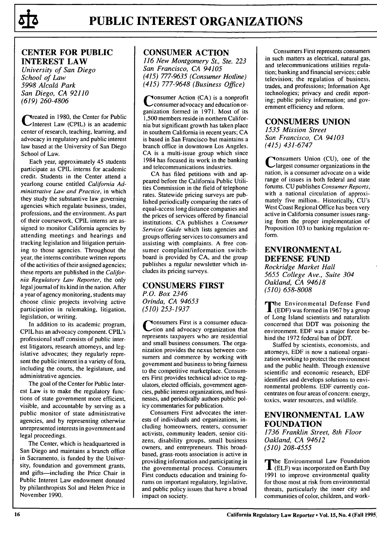#### **CENTER FOR PUBLIC INTEREST LAW**

*University of San Diego School of Law 5998 Alcald Park San Diego, CA 92110 (619) 260-4806*

**C** reated in **1980,** the Center for Public Interest Law (CPIL) is an academic center of research, teaching, learning, and advocacy in regulatory and public interest law based at the University of San Diego School of Law.

Each year, approximately 45 students participate as CPIL interns for academic credit. Students in the Center attend a yearlong course entitled *California Administrative Law and Practice,* in which they study the substantive law governing agencies which regulate business, trades, professions, and the environment. As part of their coursework, CPIL interns are assigned to monitor California agencies **by** attending meetings and hearings and tracking legislation and litigation pertaining to those agencies. Throughout the year, the interns contribute written reports of the activities of their assigned agencies; these reports are published in the *California Regulatory Law Reporter,* the only legal journal of its kind in the nation. After a year of agency monitoring, students may choose clinic projects involving active participation in rulemaking, litigation, legislation, or writing.

In addition to its academic program, CPIL has an advocacy component. CPIL's professional staff consists of public interest litigators, research attorneys, and legislative advocates; they regularly represent the public interest in a variety of fora, including the courts, the legislature, and administrative agencies.

The goal of the Center for Public Interest Law is to make the regulatory functions of state government more efficient, visible, and accountable **by** serving as a public monitor of state administrative agencies, and **by** representing otherwise unrepresented interests in government and legal proceedings.

The Center, which is headquartered in San Diego and maintains a branch office in Sacramento, is funded **by** the University, foundation and government grants, and gifts-including the Price Chair in Public Interest Law endowment donated **by** philanthropists Sol and Helen Price in November **1990.**

#### **CONSUMER ACTION**

*116 New Montgomery St., Ste. 223 San Francisco, CA 94105 (415) 777-9635 (Consumer Hotline) (415) 777-9648 (Business Office)*

**Tonsumer Action (CA) is a nonprofit** consumer advocacy and education organization formed in **1971.** Most of its **1,500** members reside in northern California but significant growth has taken place in southern California in recent years; **CA** is based in San Francisco but maintains a branch office in downtown Los Angeles. **CA** is a multi-issue group which since 1984 has focused its work in the banking and telecommunications industries.

**CA** has filed petitions with and appeared before the California Public Utilities Commission in the field of telephone rates. Statewide pricing surveys are published periodically comparing the rates of equal-access long distance companies and the prices of services offered **by** financial institutions. **CA** publishes a *Consumer Services Guide* which lists agencies and groups offering services to consumers and assisting with complaints. **A** free consumer complaint/information switchboard is provided **by CA,** and the group publishes a regular newsletter which includes its pricing surveys.

#### **CONSUMERS FIRST**

*P.O. Box 2346 Orinda, CA 94653 (510) 253-1937*

**CONSUMERS** First is a consumer educa-**C**tion and advocacy organization that represents taxpayers who are residential and small business consumers. The organization provides the nexus between consumers and commerce **by** working with government and business to bring fairness to the competitive marketplace. Consumers First provides technical advice to regulators, elected officials, government agencies, public interest organizations, and businesses, and periodically authors public **pol**icy commentaries for publication.

Consumers First advocates the interests of individuals and organizations, including homeowners, renters, consumer activists, community leaders, senior citizens, disability groups, small business owners, and entrepreneurs. This broadbased, grass-roots association is active in providing information and participating in the governmental process. Consumers First conducts education and training forums on important regulatory, legislative, and public policy issues that have a broad impact on society.

Consumers First represents consumers in such matters as electrical, natural gas, and telecommunications utilities regulation; banking and financial services; cable television; the regulation of business, trades, and professions; Information Age technologies; privacy and credit reporting; public policy information; and government efficiency and reform.

#### **CONSUMERS UNION**

*1535 Mission Street San Francisco, CA 94103 (415) 431-6747*

**Vonsumers Union (CU), one of the** largest consumer organizations in the nation, is a consumer advocate on a wide range of issues in both federal and state forums. CU publishes *Consumer Reports,* with a national circulation of approximately five million.. Historically, CU's West Coast Regional Office has been very active in California consumer issues ranging from the proper implementation of Proposition 103 to banking regulation reform.

#### **ENVIRONMENTAL DEFENSE FUND**

*Rockridge Market Hall 5655 College Ave., Suite 304 Oakland, CA 94618 (510) 658-8008*

**The Environmental Defense Fund** (EDF) was formed in 1967 by a group of Long Island scientists and naturalists concerned that DDT was poisoning the environment. EDF was a major force behind the 1972 federal ban of DDT.

Staffed by scientists, economists, and attorneys, EDF is now a national organization working to protect the environment and the public health. Through extensive scientific and economic research, **EDF** identifies and develops solutions to environmental problems. EDF currently concentrates on four areas of concern: energy, toxics, water resources, and wildlife.

#### **ENVIRONMENTAL LAW FOUNDATION**

*1736 Franklin Street, 8th Floor Oakland, CA 94612 (510) 208-4555*

he Environmental Law Foundation (ELF) was incorporated on Earth Day 1991 to improve environmental quality for those most at risk from environmental threats, particularly the inner city and communities of color, children, and work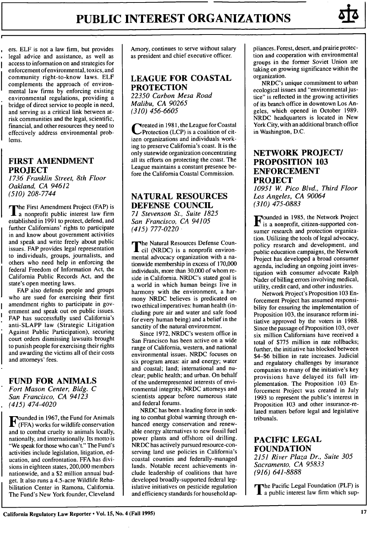ers. ELF is not a law firm, but provides legal advice and assistance, as well as access to information on and strategies for enforcement of environmental, toxics, and community right-to-know laws. ELF complements the approach of environmental law firms by enforcing existing environmental regulations, providing a bridge of direct service to people in need, and serving as a critical link between atrisk communities and the legal, scientific, financial, and other resources they need to effectively address environmental problems.

### **FIRST AMENDMENT PROJECT**

*1736 Franklin Street, 8th Floor Oakland, CA 94612 (510) 208-7744*

**The First Amendment Project (FAP) is** a nonprofit public interest law firm established in **1991** to protect, defend, and further Californians' rights to participate in and know about government activities and speak and write freely about public issues. FAP provides legal representation to individuals, groups, journalists, and others who need help in enforcing the federal Freedom of Information Act, the California Public Records Act, and the state's open meeting laws.

FAP also defends people and groups who are sued for exercising their first amendment rights to participate in government and speak out on public issues. FAP has successfully used California's anti-SLAPP law (Strategic Litigation Against Public Participation), securing court orders dismissing lawsuits brought to punish people for exercising their rights and awarding the victims all of their costs and attorneys' fees.

#### **FUND FOR ANIMALS**

*Fort Mason Center, Bldg. C San Francisco, CA 94123 (415) 474-4020*

ounded in 1967, the Fund for Animals (FFA) works for wildlife conservation and to combat cruelty to animals locally, nationally, and internationally. Its motto is "We speak for those who can't." The Fund's activities include legislation, litigation, education, and confrontation. FFA has divisions in eighteen states, 200,000 members nationwide, and a \$2 million annual budget. It also runs a 4.5-acre Wildlife Rehabilitation Center in Ramona, California. The Fund's New York founder, Cleveland Amory, continues to serve without salary as president and chief executive officer.

## **LEAGUE FOR COASTAL PROTECTION**

*22350 Carbon Mesa Road Malibu, CA 90265 (310) 456-6605*

**Neated in 1981, the League for Coastal C** Protection (LCP) is a coalition of citizen organizations and individuals working to preserve California's coast. It is the only statewide organization concentrating all its efforts on protecting the coast. The League maintains a constant presence before the California Coastal Commission.

#### **NATURAL RESOURCES DEFENSE COUNCIL**

*71 Stevenson St., Suite 1825 San Francisco, CA 94105 (415) 777-0220*

The Natural Resources Defense Counl'une ivatural resource = -------<br>cil (NRDC) is a nonprofit environmental advocacy organization with a nationwide membership in excess of 170,000 individuals, more than 30,000 of whom reside in California. NRDC's stated goal is a world in which human beings live in harmony with the environment, a harmony NRDC believes is predicated on two ethical imperatives: human health (including pure air and water and safe food for every human being) and a belief in the sanctity of the natural environment.

Since 1972, NRDC's western office in San Francisco has been active on a wide range of California, western, and national environmental issues. NRDC focuses on six program areas: air and energy; water and coastal; land; international and nuclear; public health; and urban. On behalf of the underrepresented interests of environmental integrity, NRDC attorneys and scientists appear before numerous state and federal forums.

NRDC has been a leading force in seeking to combat global warming through enhanced energy conservation and renewable energy alternatives to new fossil fuel power plants and offshore oil drilling. NRDC has actively pursued resource-conserving land use policies in California's coastal counties and federally-managed lands. Notable recent achievements include leadership of coalitions that have developed broadly-supported federal legislative initiatives on pesticide regulation and efficiency standards for household appliances. Forest, desert, and prairie protection and cooperation with environmental groups in the former Soviet Union are taking on growing significance within the organization.

NRDC's unique commitment to urban ecological issues and "environmental justice" is reflected in the growing activities of its branch office in downtown Los Angeles, which opened in October 1989. NRDC headquarters is located in New York City, with an additional branch office in Washington, D.C.

#### **NETWORK PROJECT/ PROPOSITION 103 ENFORCEMENT PROJECT**

*10951 W. Pico Blvd., Third Floor Los Angeles, CA 90064 (310) 475-0883*

**F**ounded in 1985, the Network Project is a nonprofit, citizen-supported consumer research and protection organization. Utilizing the tools of legal advocacy, policy research and development, and public education campaigns, the Network Project has developed a broad consumer agenda, including an ongoing joint investigation with consumer advocate Ralph Nader of billing errors involving medical, utility, credit card, and other industries.

Network Project's Proposition 103 Enforcement Project has assumed responsibility for ensuring the implementation of Proposition 103, the insurance reform initiative approved **by** the voters in **1988.** Since the passage of Proposition 103, over six million Californians have received a total of \$775 million in rate rollbacks; further, the initiative has blocked between \$4-\$6 billion in rate increases. Judicial and regulatory challenges by insurance companies to many of the initiative's key provisions have delayed its full implementation. The Proposition 103 Enforcement Project was created in July 1993 to represent the public's interest in Proposition 103 and other insurance-related matters before legal and legislative tribunals.

## **PACIFIC LEGAL FOUNDATION**

*2151 River Plaza Dr., Suite 305 Sacramento, CA 95833 (916) 641-8888*

**The Pacific Legal Foundation (PLF) is**  $\blacksquare$  a public interest law firm which sup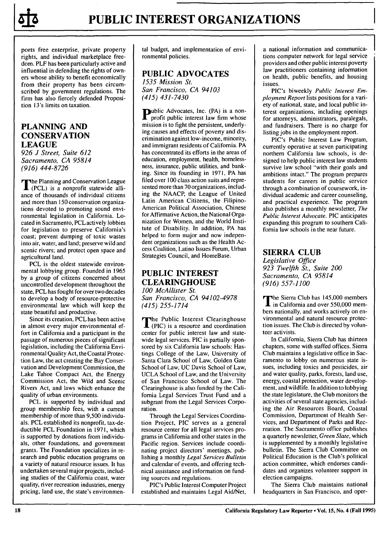ports free enterprise, private property rights, and individual marketplace freedom. PLF has been particularly active and influential in defending the rights of owners whose ability to benefit economically from their property has been circumscribed by government regulations. The firm has also fiercely defended Proposition 13's limits on taxation.

#### **PLANNING AND CONSERVATION LEAGUE**

*926 J Street, Suite 612 Sacramento, CA 95814 (916) 444-8726*

**T** the Planning and Conservation League (PCL) is a nonprofit statewide alliance of thousands of individual citizens and more than **150** conservation organizations devoted to promoting sound environmental legislation in California. Located in Sacramento, PCL actively lobbies for legislation to preserve California's coast; prevent dumping of toxic wastes into air, water, and land; preserve wild and scenic rivers; and protect open space and agricultural land.

PCL is the oldest statewide environmental lobbying group. Founded in **1965 by** a group of citizens concerned about uncontrolled development throughout the state, PCL has fought for over two decades to develop a body of resource-protective environmental law which will keep the state beautiful and productive.

Since its creation, PCL has been active in almost every major environmental effort in California and a participant in the passage of numerous pieces of significant legislation, including the California Environmental Quality Act, the Coastal Protection Law, the act creating the Bay Conservation and Development Commission, the Lake Tahoe Compact Act, the Energy Commission Act, the Wild and Scenic Rivers Act, and laws which enhance the quality of urban environments.

PCL is supported **by** individual and group membership fees, with a current membership of more than **9,500** individuals. PCL established its nonprofit, tax-deductible PCL Foundation in **1971,** which is supported **by** donations from individuals, other foundations, and government grants. The Foundation specializes in research and public education programs on a variety of natural resource issues. It has undertaken several major projects, including studies of the California coast, water quality, river recreation industries, energy pricing, land use, the state's environmental budget, and implementation of environmental policies.

### **PUBLIC ADVOCATES**

*1535 Mission St. San Francisco, CA 94103 (415) 431-7430*

**P**ublic Advocates, Inc. (PA) is a nonprofit public interest law firm whose mission is to fight the persistent, underlying causes and effects of poverty and discrimination against low-income, minority, and immigrant residents of California. PA has concentrated its efforts in the areas of education, employment, health, homelessness, insurance, public utilities, and banking. Since its founding in 1971, PA has filed over 100 class action suits and represented more than 70 organizations, including the NAACP, the League of United Latin American Citizens, the Filipino-American Political Association, Chinese for Affirmative Action, the National Organization for Women, and the World Institute of Disability. In addition, PA has helped to form major and now independent organizations such as the Health Access Coalition, Latino Issues Forum, Urban Strategies Council, and HomeBase.

#### **PUBLIC INTEREST CLEARINGHOUSE** *100 McAllister St. San Francisco, CA 94102-4978 (415) 255-1714*

**The Public Interest Clearinghouse** (PIC) is a resource and coordination center for public interest law and statewide legal services. **PIC** is partially sponsored by six California law schools: Hastings College of the Law, University of Santa Clara School of Law, Golden Gate School of Law, UC Davis School of Law, UCLA School of Law, and the University of San Francisco School of Law. The Clearinghouse is also funded by the California Legal Services Trust Fund and a subgrant from the Legal Services Corporation.

Through the Legal Services Coordination Project, PIC serves as a general resource center for all legal services programs in California and other states in the Pacific region. Services include coordinating project directors' meetings, publishing a monthly *Legal Services Bulletin* and calendar of events, and offering technical assistance and information on funding sources and regulations.

PIC's Public Interest Computer Project established and maintains Legal Aid/Net,

a national information and communications computer network for legal service providers and other public interest poverty law practitioners containing information on health, public benefits, and housing issues.

PIC's biweekly *Public Interest Employment Report* lists positions for a variety of national, state, and local public interest organizations, including openings for attorneys, administrators, paralegals, and fundraisers. There is no charge for listing jobs in the employment report.

PIC's Public Interest Law Program, currently operative at seven participating northern California law schools, is designed to help public interest law students survive law school "with their goals and ambitions intact." The program prepares students for careers in public service through a combination of coursework, individual academic and career counseling, and practical experience. The program also publishes a monthly newsletter, *The Public Interest Advocate.* **PIC** anticipates expanding this program to southern California law schools in the near future.

### **SIERRA CLUB**

*Legislative Office 923 Twelfth St., Suite 200 Sacramento, CA 95814 (916) 557-1100*

**T**he Sierra Club has 145,000 members in California and over 550,000 members nationally, and works actively on environmental and natural resource protection issues. The Club is directed by volunteer activists.

In California, Sierra Club has thirteen chapters, some with staffed offices. Sierra Club maintains a legislative office in Sacramento to lobby on numerous state issues, including toxics and pesticides, air and water quality, parks, forests, land use, energy, coastal protection, water development, and wildlife. In addition to lobbying the state legislature, the Club monitors the activities of several state agencies, including the Air Resources Board, Coastal Commission, Department of Health Services, and Department of Parks and Recreation. The Sacramento office publishes a quarterly newsletter, *Green Slate,* which is supplemented by a monthly legislative bulletin. The Sierra Club Committee on Political Education is the Club's political action committee, which endorses candidates and organizes volunteer support in election campaigns.

The Sierra Club maintains national headquarters in San Francisco, and oper